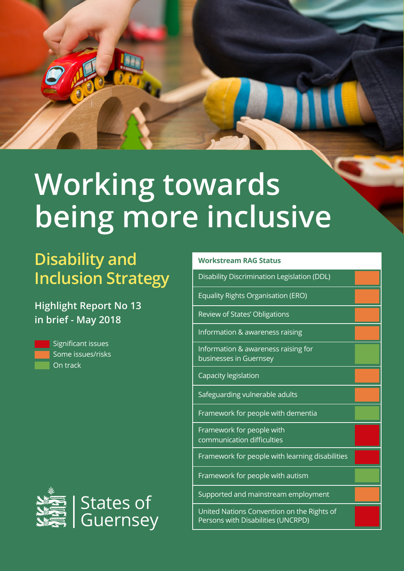

# **Working towards being more inclusive**

## **Disability and Inclusion Strategy**

#### **Highlight Report No 13 in brief - May 2018**



Significant issues Some issues/risks On track



| <b>Workstream RAG Status</b>                                                     |  |
|----------------------------------------------------------------------------------|--|
| Disability Discrimination Legislation (DDL)                                      |  |
| Equality Rights Organisation (ERO)                                               |  |
| Review of States' Obligations                                                    |  |
| Information & awareness raising                                                  |  |
| Information & awareness raising for<br>businesses in Guernsey                    |  |
| Capacity legislation                                                             |  |
| Safeguarding vulnerable adults                                                   |  |
| Framework for people with dementia                                               |  |
| Framework for people with<br>communication difficulties                          |  |
| Framework for people with learning disabilities                                  |  |
| Framework for people with autism                                                 |  |
| Supported and mainstream employment                                              |  |
| United Nations Convention on the Rights of<br>Persons with Disabilities (UNCRPD) |  |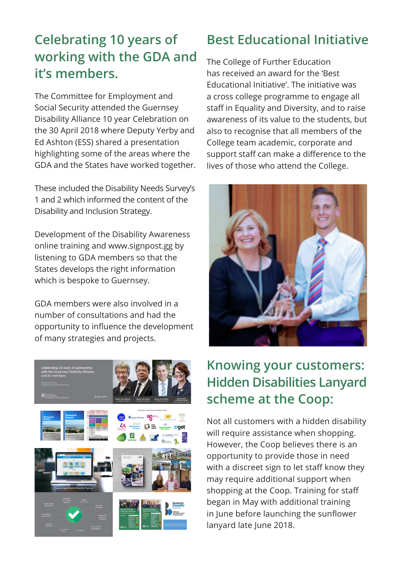#### **Celebrating 10 years of working with the GDA and it's members.**

The Committee for Employment and Social Security attended the Guernsey Disability Alliance 10 year Celebration on the 30 April 2018 where Deputy Yerby and Ed Ashton (ESS) shared a presentation highlighting some of the areas where the GDA and the States have worked together.

These included the Disability Needs Survey's 1 and 2 which informed the content of the Disability and Inclusion Strategy.

Development of the Disability Awareness online training and www.signpost.gg by listening to GDA members so that the States develops the right information which is bespoke to Guernsey.

GDA members were also involved in a number of consultations and had the opportunity to influence the development of many strategies and projects.



#### **Best Educational Initiative**

The College of Further Education has received an award for the 'Best Educational Initiative'. The initiative was a cross college programme to engage all staff in Equality and Diversity, and to raise awareness of its value to the students, but also to recognise that all members of the College team academic, corporate and support staff can make a difference to the lives of those who attend the College.



#### **Knowing your customers: Hidden Disabilities Lanyard scheme at the Coop:**

Not all customers with a hidden disability will require assistance when shopping. However, the Coop believes there is an opportunity to provide those in need with a discreet sign to let staff know they may require additional support when shopping at the Coop. Training for staff began in May with additional training in June before launching the sunflower lanyard late June 2018.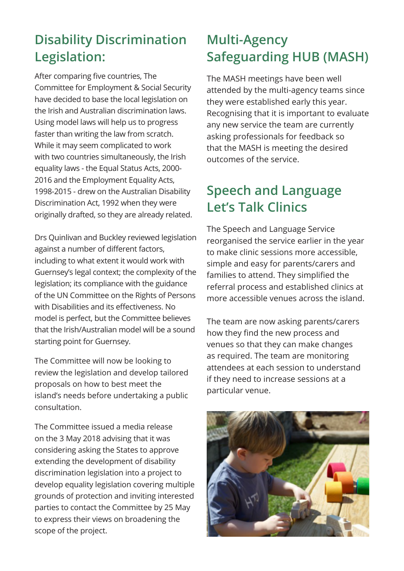### **Disability Discrimination Legislation:**

After comparing five countries, The Committee for Employment & Social Security have decided to base the local legislation on the Irish and Australian discrimination laws. Using model laws will help us to progress faster than writing the law from scratch. While it may seem complicated to work with two countries simultaneously, the Irish equality laws - the Equal Status Acts, 2000- 2016 and the Employment Equality Acts, 1998-2015 - drew on the Australian Disability Discrimination Act, 1992 when they were originally drafted, so they are already related.

Drs Quinlivan and Buckley reviewed legislation against a number of different factors, including to what extent it would work with Guernsey's legal context; the complexity of the legislation; its compliance with the guidance of the UN Committee on the Rights of Persons with Disabilities and its effectiveness. No model is perfect, but the Committee believes that the Irish/Australian model will be a sound starting point for Guernsey.

The Committee will now be looking to review the legislation and develop tailored proposals on how to best meet the island's needs before undertaking a public consultation.

The Committee issued a media release on the 3 May 2018 advising that it was considering asking the States to approve extending the development of disability discrimination legislation into a project to develop equality legislation covering multiple grounds of protection and inviting interested parties to contact the Committee by 25 May to express their views on broadening the scope of the project.

#### **Multi-Agency Safeguarding HUB (MASH)**

The MASH meetings have been well attended by the multi-agency teams since they were established early this year. Recognising that it is important to evaluate any new service the team are currently asking professionals for feedback so that the MASH is meeting the desired outcomes of the service.

#### **Speech and Language Let's Talk Clinics**

The Speech and Language Service reorganised the service earlier in the year to make clinic sessions more accessible, simple and easy for parents/carers and families to attend. They simplified the referral process and established clinics at more accessible venues across the island.

The team are now asking parents/carers how they find the new process and venues so that they can make changes as required. The team are monitoring attendees at each session to understand if they need to increase sessions at a particular venue.